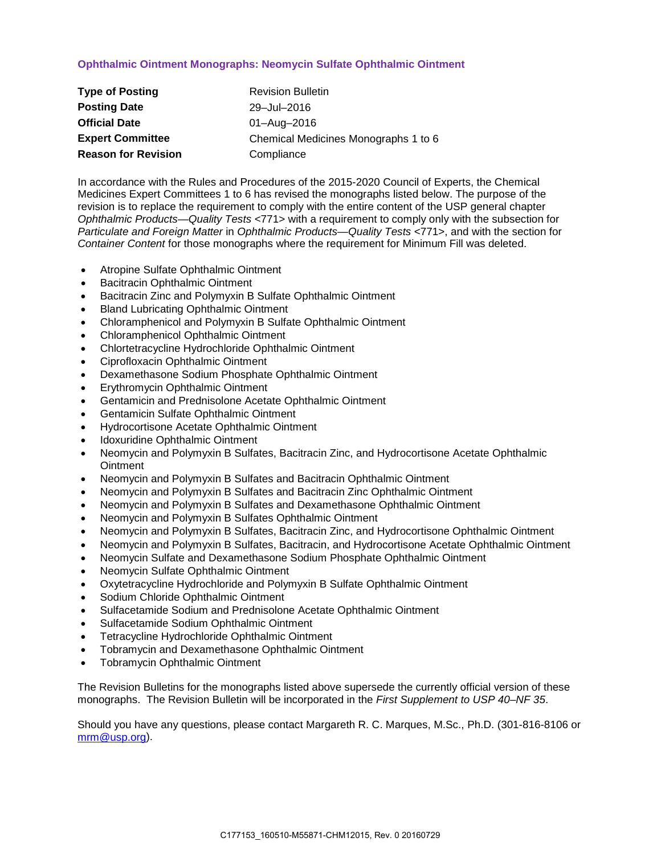## **Ophthalmic Ointment Monographs: Neomycin Sulfate Ophthalmic Ointment**

| <b>Type of Posting</b>     | <b>Revision Bulletin</b>             |
|----------------------------|--------------------------------------|
| <b>Posting Date</b>        | 29-Jul-2016                          |
| <b>Official Date</b>       | 01-Aug-2016                          |
| <b>Expert Committee</b>    | Chemical Medicines Monographs 1 to 6 |
| <b>Reason for Revision</b> | Compliance                           |

In accordance with the Rules and Procedures of the 2015-2020 Council of Experts, the Chemical Medicines Expert Committees 1 to 6 has revised the monographs listed below. The purpose of the revision is to replace the requirement to comply with the entire content of the USP general chapter *Ophthalmic Products—Quality Tests* <771> with a requirement to comply only with the subsection for *Particulate and Foreign Matter* in *Ophthalmic Products—Quality Tests* <771>, and with the section for *Container Content* for those monographs where the requirement for Minimum Fill was deleted.

- Atropine Sulfate Ophthalmic Ointment
- Bacitracin Ophthalmic Ointment
- Bacitracin Zinc and Polymyxin B Sulfate Ophthalmic Ointment
- Bland Lubricating Ophthalmic Ointment
- Chloramphenicol and Polymyxin B Sulfate Ophthalmic Ointment
- Chloramphenicol Ophthalmic Ointment
- Chlortetracycline Hydrochloride Ophthalmic Ointment
- Ciprofloxacin Ophthalmic Ointment
- Dexamethasone Sodium Phosphate Ophthalmic Ointment
- Erythromycin Ophthalmic Ointment
- Gentamicin and Prednisolone Acetate Ophthalmic Ointment
- Gentamicin Sulfate Ophthalmic Ointment
- Hydrocortisone Acetate Ophthalmic Ointment
- Idoxuridine Ophthalmic Ointment
- Neomycin and Polymyxin B Sulfates, Bacitracin Zinc, and Hydrocortisone Acetate Ophthalmic **Ointment**
- Neomycin and Polymyxin B Sulfates and Bacitracin Ophthalmic Ointment
- Neomycin and Polymyxin B Sulfates and Bacitracin Zinc Ophthalmic Ointment
- Neomycin and Polymyxin B Sulfates and Dexamethasone Ophthalmic Ointment
- Neomycin and Polymyxin B Sulfates Ophthalmic Ointment
- Neomycin and Polymyxin B Sulfates, Bacitracin Zinc, and Hydrocortisone Ophthalmic Ointment
- Neomycin and Polymyxin B Sulfates, Bacitracin, and Hydrocortisone Acetate Ophthalmic Ointment
- Neomycin Sulfate and Dexamethasone Sodium Phosphate Ophthalmic Ointment
- Neomycin Sulfate Ophthalmic Ointment
- Oxytetracycline Hydrochloride and Polymyxin B Sulfate Ophthalmic Ointment
- Sodium Chloride Ophthalmic Ointment
- Sulfacetamide Sodium and Prednisolone Acetate Ophthalmic Ointment
- Sulfacetamide Sodium Ophthalmic Ointment
- Tetracycline Hydrochloride Ophthalmic Ointment
- Tobramycin and Dexamethasone Ophthalmic Ointment
- Tobramycin Ophthalmic Ointment

The Revision Bulletins for the monographs listed above supersede the currently official version of these monographs. The Revision Bulletin will be incorporated in the *First Supplement to USP 40–NF 35*.

Should you have any questions, please contact Margareth R. C. Marques, M.Sc., Ph.D. (301-816-8106 or [mrm@usp.org\)](mailto:mrm@usp.org).